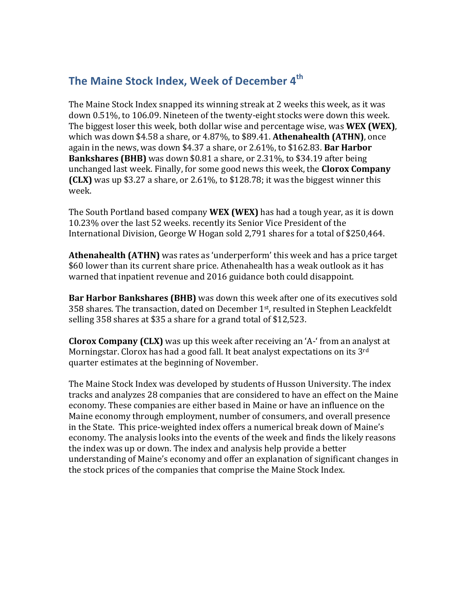## The Maine Stock Index, Week of December 4<sup>th</sup>

The Maine Stock Index snapped its winning streak at 2 weeks this week, as it was down 0.51%, to 106.09. Nineteen of the twenty-eight stocks were down this week. The biggest loser this week, both dollar wise and percentage wise, was **WEX (WEX)**, which was down \$4.58 a share, or 4.87%, to \$89.41. **Athenahealth (ATHN)**, once again in the news, was down  $$4.37$  a share, or  $2.61\%$ , to  $$162.83$ . Bar Harbor **Bankshares (BHB)** was down \$0.81 a share, or 2.31%, to \$34.19 after being unchanged last week. Finally, for some good news this week, the **Clorox Company (CLX)** was up \$3.27 a share, or 2.61%, to \$128.78; it was the biggest winner this week. 

The South Portland based company **WEX (WEX)** has had a tough year, as it is down 10.23% over the last 52 weeks. recently its Senior Vice President of the International Division, George W Hogan sold 2,791 shares for a total of \$250,464.

**Athenahealth (ATHN)** was rates as 'underperform' this week and has a price target \$60 lower than its current share price. Athenahealth has a weak outlook as it has warned that inpatient revenue and 2016 guidance both could disappoint.

**Bar Harbor Bankshares (BHB)** was down this week after one of its executives sold 358 shares. The transaction, dated on December  $1<sup>st</sup>$ , resulted in Stephen Leackfeldt selling 358 shares at \$35 a share for a grand total of \$12,523.

**Clorox Company (CLX)** was up this week after receiving an 'A-' from an analyst at Morningstar. Clorox has had a good fall. It beat analyst expectations on its  $3<sup>rd</sup>$ quarter estimates at the beginning of November.

The Maine Stock Index was developed by students of Husson University. The index tracks and analyzes 28 companies that are considered to have an effect on the Maine economy. These companies are either based in Maine or have an influence on the Maine economy through employment, number of consumers, and overall presence in the State. This price-weighted index offers a numerical break down of Maine's economy. The analysis looks into the events of the week and finds the likely reasons the index was up or down. The index and analysis help provide a better understanding of Maine's economy and offer an explanation of significant changes in the stock prices of the companies that comprise the Maine Stock Index.